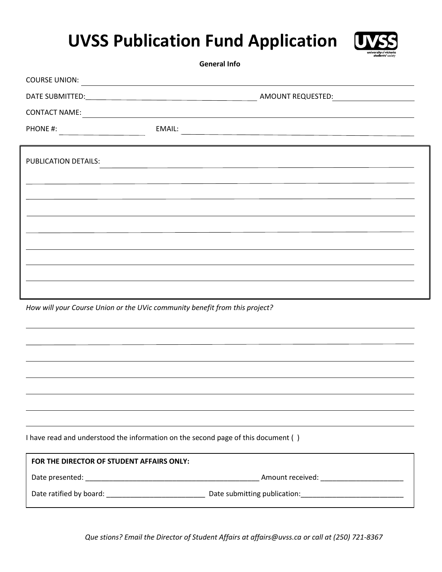## **UVSS Publication Fund Application**



 **General Info**

| <b>COURSE UNION:</b><br><u> 1989 - Johann Stoff, deutscher Stoffen und der Stoffen und der Stoffen und der Stoffen und der Stoffen und der</u> |                                                                                                                                |  |  |  |  |  |
|------------------------------------------------------------------------------------------------------------------------------------------------|--------------------------------------------------------------------------------------------------------------------------------|--|--|--|--|--|
|                                                                                                                                                |                                                                                                                                |  |  |  |  |  |
| <b>CONTACT NAME:</b>                                                                                                                           | <u> 1989 - Johann Barn, mars eta bainar eta bainar eta baina eta baina eta baina eta baina eta baina eta baina e</u>           |  |  |  |  |  |
| PHONE #:                                                                                                                                       | EMAIL:<br><u> 1989 - Johann Stein, marwolaethau a bhann an t-Amhain an t-Amhain an t-Amhain an t-Amhain an t-Amhain an t-A</u> |  |  |  |  |  |
|                                                                                                                                                |                                                                                                                                |  |  |  |  |  |
| PUBLICATION DETAILS:                                                                                                                           |                                                                                                                                |  |  |  |  |  |
|                                                                                                                                                |                                                                                                                                |  |  |  |  |  |
|                                                                                                                                                |                                                                                                                                |  |  |  |  |  |
|                                                                                                                                                |                                                                                                                                |  |  |  |  |  |
|                                                                                                                                                |                                                                                                                                |  |  |  |  |  |
|                                                                                                                                                |                                                                                                                                |  |  |  |  |  |
|                                                                                                                                                |                                                                                                                                |  |  |  |  |  |
|                                                                                                                                                |                                                                                                                                |  |  |  |  |  |
|                                                                                                                                                |                                                                                                                                |  |  |  |  |  |
| How will your Course Union or the UVic community benefit from this project?                                                                    |                                                                                                                                |  |  |  |  |  |
|                                                                                                                                                |                                                                                                                                |  |  |  |  |  |
|                                                                                                                                                |                                                                                                                                |  |  |  |  |  |
|                                                                                                                                                |                                                                                                                                |  |  |  |  |  |

I have read and understood the information on the second page of this document ( )

| FOR THE DIRECTOR OF STUDENT AFFAIRS ONLY: |                              |  |  |
|-------------------------------------------|------------------------------|--|--|
| Date presented:                           | Amount received:             |  |  |
| Date ratified by board:                   | Date submitting publication: |  |  |

*Que stions? Email the Director of Student Affairs at affairs@uvss.ca or call at (250) 721-8367*